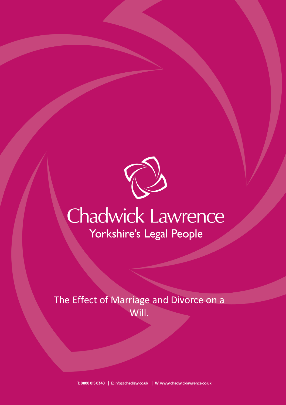

## **Chadwick Lawrence** Yorkshire's Legal People

The Effect of Marriage and Divorce on a Will.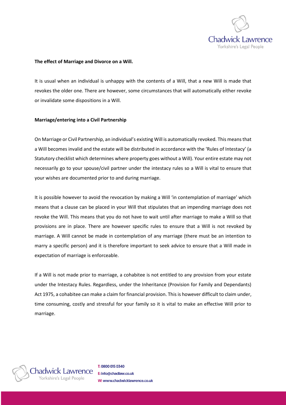

## **The effect of Marriage and Divorce on a Will.**

It is usual when an individual is unhappy with the contents of a Will, that a new Will is made that revokes the older one. There are however, some circumstances that will automatically either revoke or invalidate some dispositions in a Will.

## **Marriage/entering into a Civil Partnership**

On Marriage or Civil Partnership, an individual's existing Will is automatically revoked. This means that a Will becomes invalid and the estate will be distributed in accordance with the 'Rules of Intestacy' (a Statutory checklist which determines where property goes without a Will). Your entire estate may not necessarily go to your spouse/civil partner under the intestacy rules so a Will is vital to ensure that your wishes are documented prior to and during marriage.

It is possible however to avoid the revocation by making a Will 'in contemplation of marriage' which means that a clause can be placed in your Will that stipulates that an impending marriage does not revoke the Will. This means that you do not have to wait until after marriage to make a Will so that provisions are in place. There are however specific rules to ensure that a Will is not revoked by marriage. A Will cannot be made in contemplation of any marriage (there must be an intention to marry a specific person) and it is therefore important to seek advice to ensure that a Will made in expectation of marriage is enforceable.

If a Will is not made prior to marriage, a cohabitee is not entitled to any provision from your estate under the Intestacy Rules. Regardless, under the Inheritance (Provision for Family and Dependants) Act 1975, a cohabitee can make a claim for financial provision. This is however difficult to claim under, time consuming, costly and stressful for your family so it is vital to make an effective Will prior to marriage.



T: 0800 015 0340 E: info@chadlaw.co.uk W: www.chadwicklawrence.co.uk